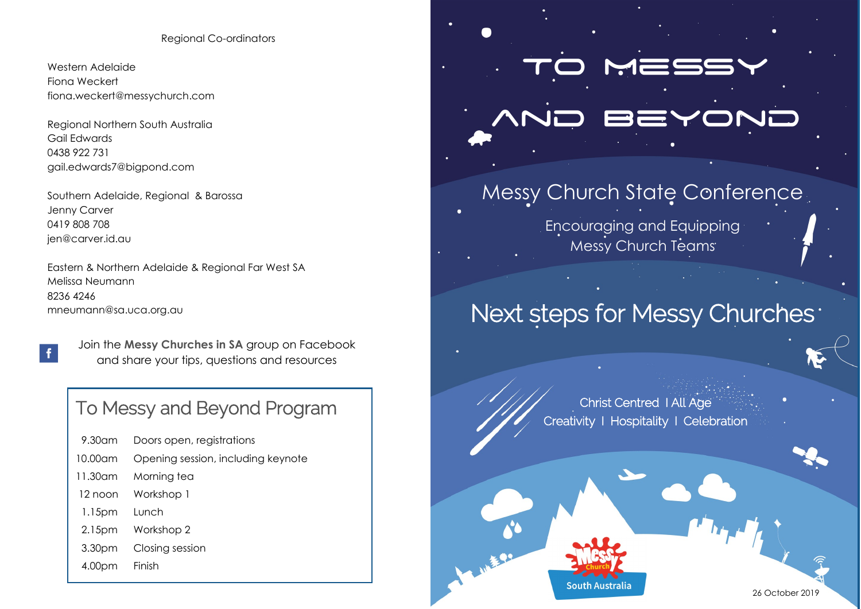#### Regional Co-ordinators

Western Adelaide Fiona Weckert fiona.weckert@messychurch.com

Regional Northern South Australia Gail Edwards 0438 922 731 gail.edwards7@bigpond.com

Southern Adelaide, Regional & Barossa Jenny Carver 0419 808 708 jen@carver.id.au

 $\mathbf{f}$ 

Eastern & Northern Adelaide & Regional Far West SA Melissa Neumann 8236 4246 mneumann@sa.uca.org.au

> Join the **Messy Churches in SA** group on Facebook and share your tips, questions and resources

# To Messy and Beyond Program

| 9.30am  | Doors open, registrations          |
|---------|------------------------------------|
| 10.00am | Opening session, including keynote |
| 11.30am | Morning tea                        |
| 12 noon | Workshop 1                         |
| 1.15pm  | Tunch                              |
| 2.15pm  | Workshop 2                         |
| 3.30pm  | Closing session                    |
| 4.00pm  | Finish                             |

# To Messy

# and Beyond

# Messy Church State Conference

Encouraging and Equipping Messy Church Teams

# Next steps for Messy Churches<sup>.</sup>

Christ Centred I All Age Creativity I Hospitality I Celebration

Christ Centred I All Age I Creativity I Hospitality I Hospitality I Hospitality I Hospitality I Hospitality I H



26 October 2019